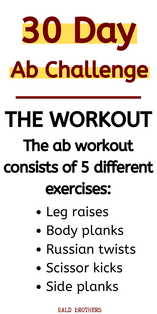

## THE WORKOUT The ab workout consists of 5 different

#### exercises:

- Leg raises
- Body planks
- Russian twists
- Scissor kicks
- Side planks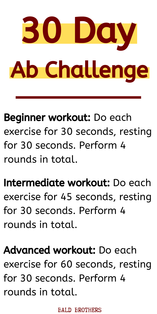

Beginner workout: Do each exercise for 30 seconds, resting for 30 seconds. Perform 4 rounds in total.

Intermediate workout: Do each

exercise for 45 seconds, resting for 30 seconds. Perform 4 rounds in total.

Advanced workout: Do each exercise for 60 seconds, resting for 30 seconds. Perform 4 rounds in total.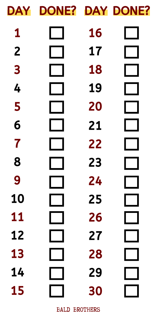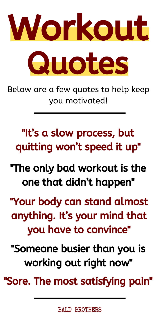

Below are a few quotes to help keep you motivated!

"It's a slow process, but quitting won't speed it up"

"The only bad workout is the one that didn't happen"

"Your body can stand almost anything. It's your mind that you have to convince"

"Someone busier than you is working out right now"

"Sore. The most satisfying pain"